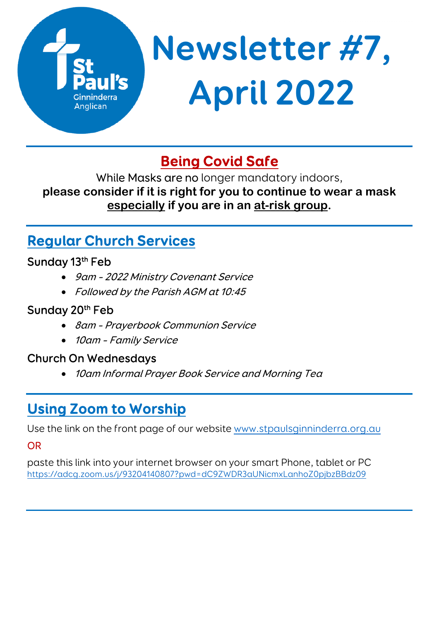

# **Being Covid Safe**

While Masks are no longer mandatory indoors, **please consider if it is right for you to continue to wear a mask especially if you are in an at-risk group.** 

# **Regular Church Services**

### Sunday 13<sup>th</sup> Feb

- 9am 2022 Ministry Covenant Service
- Followed by the Parish AGM at 10:45

## Sunday 20<sup>th</sup> Feb

- 8am Prayerbook Communion Service
- 10am Family Service

### Church On Wednesdays

10am Informal Prayer Book Service and Morning Tea

# **Using Zoom to Worship**

Use the link on the front page of our website www.stpaulsginninderra.org.au

OR

paste this link into your internet browser on your smart Phone, tablet or PC https://adcg.zoom.us/j/93204140807?pwd=dC9ZWDR3aUNicmxLanhoZ0pjbzBBdz09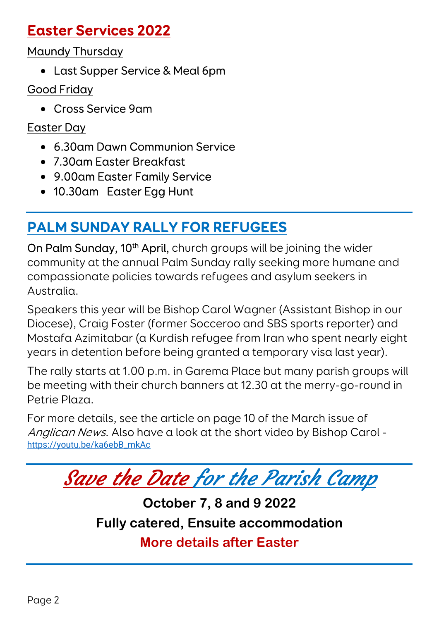## **Easter Services 2022**

Maundy Thursday

Last Supper Service & Meal 6pm

### Good Friday

Cross Service 9am

## Easter Day

- 6.30am Dawn Communion Service
- 7.30am Easter Breakfast
- 9.00am Easter Family Service
- 10.30am Easter Egg Hunt

# **PALM SUNDAY RALLY FOR REFUGEES**

On Palm Sunday, 10<sup>th</sup> April, church groups will be joining the wider community at the annual Palm Sunday rally seeking more humane and compassionate policies towards refugees and asylum seekers in Australia.

Speakers this year will be Bishop Carol Wagner (Assistant Bishop in our Diocese), Craig Foster (former Socceroo and SBS sports reporter) and Mostafa Azimitabar (a Kurdish refugee from Iran who spent nearly eight years in detention before being granted a temporary visa last year).

The rally starts at 1.00 p.m. in Garema Place but many parish groups will be meeting with their church banners at 12.30 at the merry-go-round in Petrie Plaza.

For more details, see the article on page 10 of the March issue of Anglican News. Also have a look at the short video by Bishop Carol https://youtu.be/ka6ebB\_mkAc



**October 7, 8 and 9 2022 Fully catered, Ensuite accommodation More details after Easter**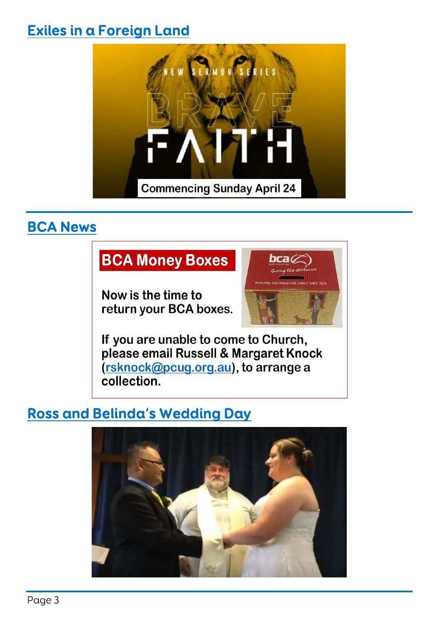## **Exiles in a Foreign Land**



## **BCA News**

## **BCA Money Boxes**

Now is the time to return your BCA boxes.



If you are unable to come to Church, please email Russell & Margaret Knock (rsknock@pcug.org.au), to arrange a collection.

## **Ross and Belinda's Wedding Day**

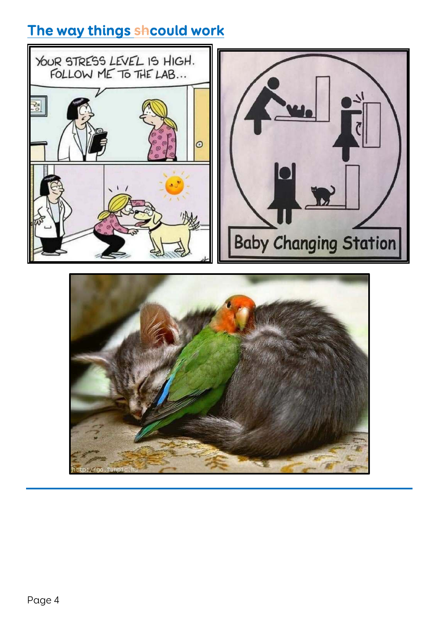## **The way things shcould work**